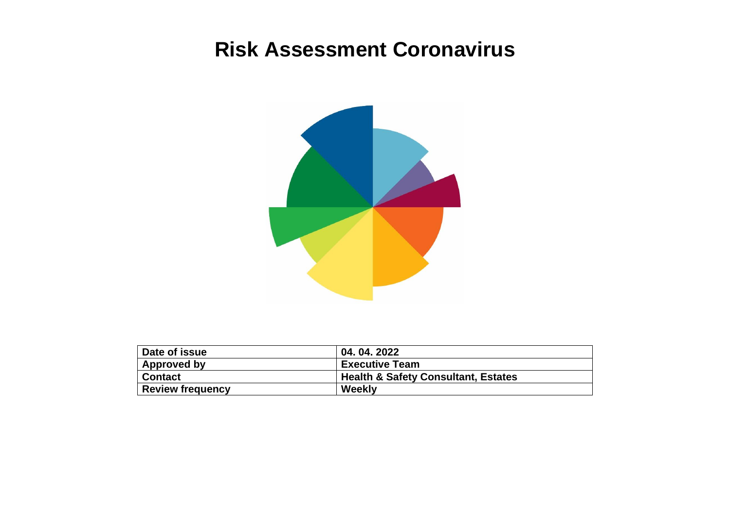## **Risk Assessment Coronavirus**



| Date of issue           | 04, 04, 2022                                   |
|-------------------------|------------------------------------------------|
| Approved by             | <b>Executive Team</b>                          |
| <b>Contact</b>          | <b>Health &amp; Safety Consultant, Estates</b> |
| <b>Review frequency</b> | Weekly                                         |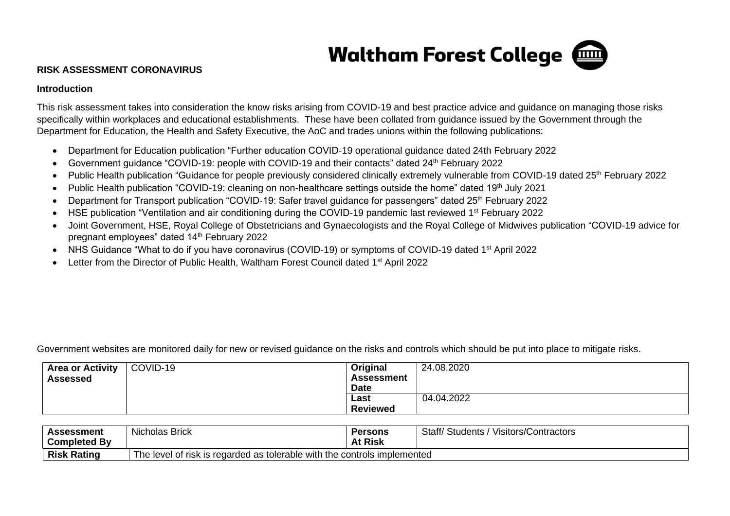

## **RISK ASSESSMENT CORONAVIRUS**

## **Introduction**

This risk assessment takes into consideration the know risks arising from COVID-19 and best practice advice and guidance on managing those risks specifically within workplaces and educational establishments. These have been collated from guidance issued by the Government through the Department for Education, the Health and Safety Executive, the AoC and trades unions within the following publications:

- Department for Education publication "Further education COVID-19 operational guidance dated 24th February 2022
- Government guidance "COVID-19: people with COVID-19 and their contacts" dated 24<sup>th</sup> February 2022
- Public Health publication "Guidance for people previously considered clinically extremely vulnerable from COVID-19 dated 25<sup>th</sup> February 2022
- Public Health publication "COVID-19: cleaning on non-healthcare settings outside the home" dated 19<sup>th</sup> July 2021
- Department for Transport publication "COVID-19: Safer travel guidance for passengers" dated 25<sup>th</sup> February 2022
- HSE publication "Ventilation and air conditioning during the COVID-19 pandemic last reviewed 1<sup>st</sup> February 2022
- Joint Government, HSE, Royal College of Obstetricians and Gynaecologists and the Royal College of Midwives publication "COVID-19 advice for pregnant employees" dated 14th February 2022
- NHS Guidance "What to do if you have coronavirus (COVID-19) or symptoms of COVID-19 dated 1<sup>st</sup> April 2022
- Letter from the Director of Public Health, Waltham Forest Council dated 1<sup>st</sup> April 2022

Government websites are monitored daily for new or revised guidance on the risks and controls which should be put into place to mitigate risks.

| <b>Area or Activity</b><br><b>Assessed</b> | COVID-19 | Original<br><b>Assessment</b><br><b>Date</b> | 24.08.2020 |
|--------------------------------------------|----------|----------------------------------------------|------------|
|                                            |          | Last<br><b>Reviewed</b>                      | 04.04.2022 |

| <b>Assessment</b><br>' Bv<br><b>Completed</b> | <b>Nicholas Brick</b>                                                                        | <b>Persons</b><br><b>At Risk</b> | Staff/<br>$\overline{\phantom{a}}$<br>.<br>. ص<br>Visitors/Contractors<br><b>Students</b> |  |  |
|-----------------------------------------------|----------------------------------------------------------------------------------------------|----------------------------------|-------------------------------------------------------------------------------------------|--|--|
| <b>Risk Rating</b>                            | $\mathfrak s$ tolerable with the controls implemented<br>The level<br>োs regarded as<br>risk |                                  |                                                                                           |  |  |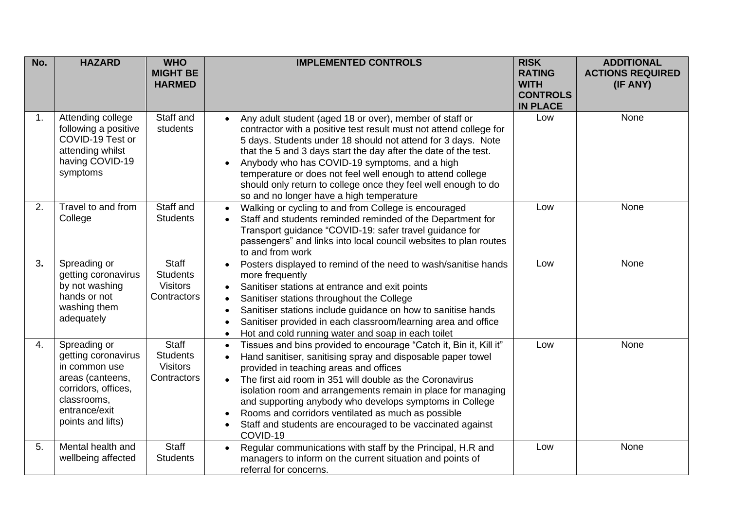| No. | <b>HAZARD</b>                                                                                                                                        | <b>WHO</b><br><b>MIGHT BE</b><br><b>HARMED</b>                    | <b>IMPLEMENTED CONTROLS</b>                                                                                                                                                                                                                                                                                                                                                                                                                                                                                                                            | <b>RISK</b><br><b>RATING</b><br><b>WITH</b><br><b>CONTROLS</b><br><b>IN PLACE</b> | <b>ADDITIONAL</b><br><b>ACTIONS REQUIRED</b><br>(IF ANY) |
|-----|------------------------------------------------------------------------------------------------------------------------------------------------------|-------------------------------------------------------------------|--------------------------------------------------------------------------------------------------------------------------------------------------------------------------------------------------------------------------------------------------------------------------------------------------------------------------------------------------------------------------------------------------------------------------------------------------------------------------------------------------------------------------------------------------------|-----------------------------------------------------------------------------------|----------------------------------------------------------|
| 1.  | Attending college<br>following a positive<br>COVID-19 Test or<br>attending whilst<br>having COVID-19<br>symptoms                                     | Staff and<br>students                                             | Any adult student (aged 18 or over), member of staff or<br>contractor with a positive test result must not attend college for<br>5 days. Students under 18 should not attend for 3 days. Note<br>that the 5 and 3 days start the day after the date of the test.<br>Anybody who has COVID-19 symptoms, and a high<br>temperature or does not feel well enough to attend college<br>should only return to college once they feel well enough to do<br>so and no longer have a high temperature                                                          | Low                                                                               | None                                                     |
| 2.  | Travel to and from<br>College                                                                                                                        | Staff and<br><b>Students</b>                                      | Walking or cycling to and from College is encouraged<br>$\bullet$<br>Staff and students reminded reminded of the Department for<br>Transport guidance "COVID-19: safer travel guidance for<br>passengers" and links into local council websites to plan routes<br>to and from work                                                                                                                                                                                                                                                                     | Low                                                                               | None                                                     |
| 3.  | Spreading or<br>getting coronavirus<br>by not washing<br>hands or not<br>washing them<br>adequately                                                  | <b>Staff</b><br><b>Students</b><br><b>Visitors</b><br>Contractors | Posters displayed to remind of the need to wash/sanitise hands<br>more frequently<br>Sanitiser stations at entrance and exit points<br>$\bullet$<br>Sanitiser stations throughout the College<br>Sanitiser stations include guidance on how to sanitise hands<br>Sanitiser provided in each classroom/learning area and office<br>Hot and cold running water and soap in each toilet<br>$\bullet$                                                                                                                                                      | Low                                                                               | None                                                     |
| 4.  | Spreading or<br>getting coronavirus<br>in common use<br>areas (canteens,<br>corridors, offices,<br>classrooms,<br>entrance/exit<br>points and lifts) | <b>Staff</b><br><b>Students</b><br><b>Visitors</b><br>Contractors | Tissues and bins provided to encourage "Catch it, Bin it, Kill it"<br>$\bullet$<br>Hand sanitiser, sanitising spray and disposable paper towel<br>$\bullet$<br>provided in teaching areas and offices<br>The first aid room in 351 will double as the Coronavirus<br>$\bullet$<br>isolation room and arrangements remain in place for managing<br>and supporting anybody who develops symptoms in College<br>Rooms and corridors ventilated as much as possible<br>Staff and students are encouraged to be vaccinated against<br>$\bullet$<br>COVID-19 | Low                                                                               | None                                                     |
| 5.  | Mental health and<br>wellbeing affected                                                                                                              | <b>Staff</b><br><b>Students</b>                                   | Regular communications with staff by the Principal, H.R and<br>$\bullet$<br>managers to inform on the current situation and points of<br>referral for concerns.                                                                                                                                                                                                                                                                                                                                                                                        | Low                                                                               | None                                                     |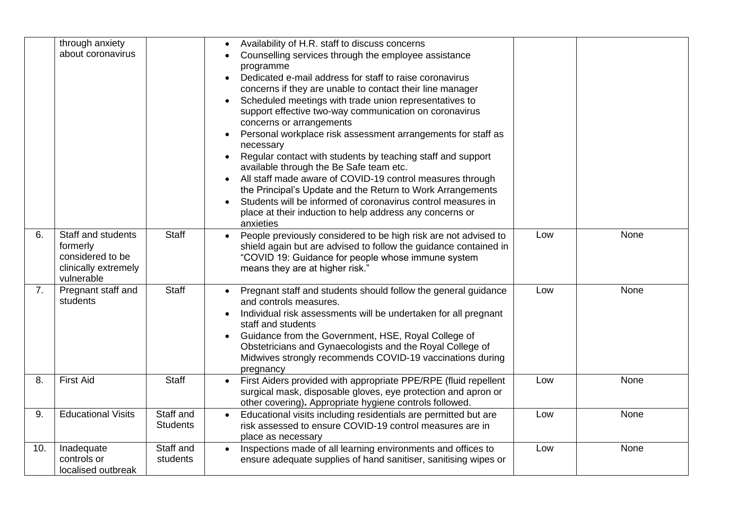|     | through anxiety<br>about coronavirus                                                     |                              | Availability of H.R. staff to discuss concerns<br>Counselling services through the employee assistance<br>programme<br>Dedicated e-mail address for staff to raise coronavirus<br>concerns if they are unable to contact their line manager<br>Scheduled meetings with trade union representatives to<br>$\bullet$<br>support effective two-way communication on coronavirus<br>concerns or arrangements<br>Personal workplace risk assessment arrangements for staff as<br>$\bullet$<br>necessary<br>Regular contact with students by teaching staff and support<br>available through the Be Safe team etc.<br>All staff made aware of COVID-19 control measures through<br>the Principal's Update and the Return to Work Arrangements<br>Students will be informed of coronavirus control measures in<br>place at their induction to help address any concerns or<br>anxieties |     |      |
|-----|------------------------------------------------------------------------------------------|------------------------------|----------------------------------------------------------------------------------------------------------------------------------------------------------------------------------------------------------------------------------------------------------------------------------------------------------------------------------------------------------------------------------------------------------------------------------------------------------------------------------------------------------------------------------------------------------------------------------------------------------------------------------------------------------------------------------------------------------------------------------------------------------------------------------------------------------------------------------------------------------------------------------|-----|------|
| 6.  | Staff and students<br>formerly<br>considered to be<br>clinically extremely<br>vulnerable | <b>Staff</b>                 | People previously considered to be high risk are not advised to<br>shield again but are advised to follow the guidance contained in<br>"COVID 19: Guidance for people whose immune system<br>means they are at higher risk."                                                                                                                                                                                                                                                                                                                                                                                                                                                                                                                                                                                                                                                     | Low | None |
| 7.  | Pregnant staff and<br>students                                                           | <b>Staff</b>                 | Pregnant staff and students should follow the general guidance<br>and controls measures.<br>Individual risk assessments will be undertaken for all pregnant<br>staff and students<br>Guidance from the Government, HSE, Royal College of<br>$\bullet$<br>Obstetricians and Gynaecologists and the Royal College of<br>Midwives strongly recommends COVID-19 vaccinations during<br>pregnancy                                                                                                                                                                                                                                                                                                                                                                                                                                                                                     | Low | None |
| 8.  | <b>First Aid</b>                                                                         | <b>Staff</b>                 | First Aiders provided with appropriate PPE/RPE (fluid repellent<br>surgical mask, disposable gloves, eye protection and apron or<br>other covering). Appropriate hygiene controls followed.                                                                                                                                                                                                                                                                                                                                                                                                                                                                                                                                                                                                                                                                                      | Low | None |
| 9.  | <b>Educational Visits</b>                                                                | Staff and<br><b>Students</b> | Educational visits including residentials are permitted but are<br>risk assessed to ensure COVID-19 control measures are in<br>place as necessary                                                                                                                                                                                                                                                                                                                                                                                                                                                                                                                                                                                                                                                                                                                                | Low | None |
| 10. | Inadequate<br>controls or<br>localised outbreak                                          | Staff and<br>students        | Inspections made of all learning environments and offices to<br>$\bullet$<br>ensure adequate supplies of hand sanitiser, sanitising wipes or                                                                                                                                                                                                                                                                                                                                                                                                                                                                                                                                                                                                                                                                                                                                     | Low | None |